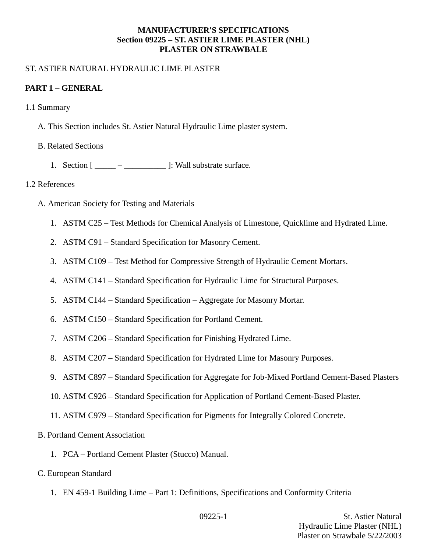### **MANUFACTURER'S SPECIFICATIONS Section 09225 – ST. ASTIER LIME PLASTER (NHL) PLASTER ON STRAWBALE**

### ST. ASTIER NATURAL HYDRAULIC LIME PLASTER

### **PART 1 – GENERAL**

- 1.1 Summary
	- A. This Section includes St. Astier Natural Hydraulic Lime plaster system.
	- B. Related Sections
		- 1. Section  $[\underline{\hspace{1cm}} \underline{\hspace{1cm}} \underline{\hspace{1cm}}]$ : Wall substrate surface.

#### 1.2 References

- A. American Society for Testing and Materials
	- 1. ASTM C25 Test Methods for Chemical Analysis of Limestone, Quicklime and Hydrated Lime.
	- 2. ASTM C91 Standard Specification for Masonry Cement.
	- 3. ASTM C109 Test Method for Compressive Strength of Hydraulic Cement Mortars.
	- 4. ASTM C141 Standard Specification for Hydraulic Lime for Structural Purposes.
	- 5. ASTM C144 Standard Specification Aggregate for Masonry Mortar.
	- 6. ASTM C150 Standard Specification for Portland Cement.
	- 7. ASTM C206 Standard Specification for Finishing Hydrated Lime.
	- 8. ASTM C207 Standard Specification for Hydrated Lime for Masonry Purposes.
	- 9. ASTM C897 Standard Specification for Aggregate for Job-Mixed Portland Cement-Based Plasters
	- 10. ASTM C926 Standard Specification for Application of Portland Cement-Based Plaster.
	- 11. ASTM C979 Standard Specification for Pigments for Integrally Colored Concrete.
- B. Portland Cement Association
	- 1. PCA Portland Cement Plaster (Stucco) Manual.
- C. European Standard
	- 1. EN 459-1 Building Lime Part 1: Definitions, Specifications and Conformity Criteria

09225-1 St. Astier Natural Hydraulic Lime Plaster (NHL) Plaster on Strawbale 5/22/2003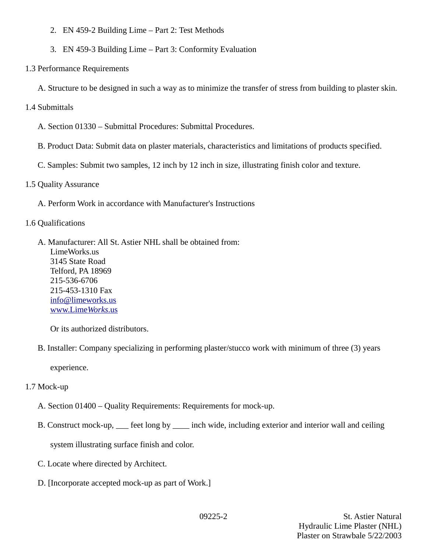- 2. EN 459-2 Building Lime Part 2: Test Methods
- 3. EN 459-3 Building Lime Part 3: Conformity Evaluation
- 1.3 Performance Requirements
	- A. Structure to be designed in such a way as to minimize the transfer of stress from building to plaster skin.
- 1.4 Submittals
	- A. Section 01330 Submittal Procedures: Submittal Procedures.
	- B. Product Data: Submit data on plaster materials, characteristics and limitations of products specified.
	- C. Samples: Submit two samples, 12 inch by 12 inch in size, illustrating finish color and texture.
- 1.5 Quality Assurance
	- A. Perform Work in accordance with Manufacturer's Instructions
- 1.6 Qualifications
	- A. Manufacturer: All St. Astier NHL shall be obtained from: LimeWorks.us 3145 State Road Telford, PA 18969 215-536-6706 215-453-1310 Fax [info@limeworks.us](mailto:info@limeworks.us)  [www.Lime](http://www.LimeWorks.us/) *[Works](http://www.LimeWorks.us/)*[.us](http://www.LimeWorks.us/)

Or its authorized distributors.

B. Installer: Company specializing in performing plaster/stucco work with minimum of three (3) years

experience.

- 1.7 Mock-up
	- A. Section 01400 Quality Requirements: Requirements for mock-up.
	- B. Construct mock-up, \_\_\_ feet long by \_\_\_\_ inch wide, including exterior and interior wall and ceiling

system illustrating surface finish and color.

- C. Locate where directed by Architect.
- D. [Incorporate accepted mock-up as part of Work.]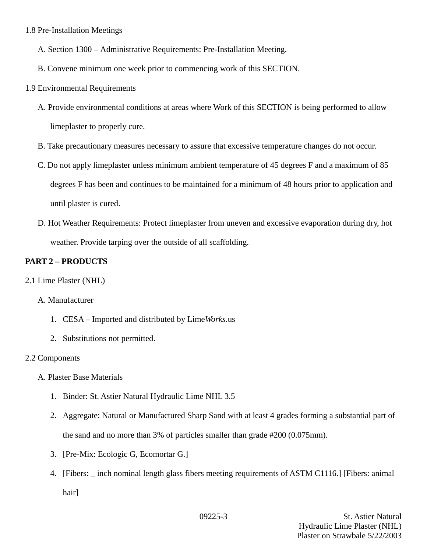### 1.8 Pre-Installation Meetings

- A. Section 1300 Administrative Requirements: Pre-Installation Meeting.
- B. Convene minimum one week prior to commencing work of this SECTION.
- 1.9 Environmental Requirements
	- A. Provide environmental conditions at areas where Work of this SECTION is being performed to allow limeplaster to properly cure.
	- B. Take precautionary measures necessary to assure that excessive temperature changes do not occur.
	- C. Do not apply limeplaster unless minimum ambient temperature of 45 degrees F and a maximum of 85 degrees F has been and continues to be maintained for a minimum of 48 hours prior to application and until plaster is cured.
	- D. Hot Weather Requirements: Protect limeplaster from uneven and excessive evaporation during dry, hot weather. Provide tarping over the outside of all scaffolding.

# **PART 2 – PRODUCTS**

2.1 Lime Plaster (NHL)

# A. Manufacturer

- 1. CESA Imported and distributed by Lime*Works*.us
- 2. Substitutions not permitted.

#### 2.2 Components

- A. Plaster Base Materials
	- 1. Binder: St. Astier Natural Hydraulic Lime NHL 3.5
	- 2. Aggregate: Natural or Manufactured Sharp Sand with at least 4 grades forming a substantial part of the sand and no more than 3% of particles smaller than grade #200 (0.075mm).
	- 3. [Pre-Mix: Ecologic G, Ecomortar G.]
	- 4. [Fibers: inch nominal length glass fibers meeting requirements of ASTM C1116.] [Fibers: animal hair]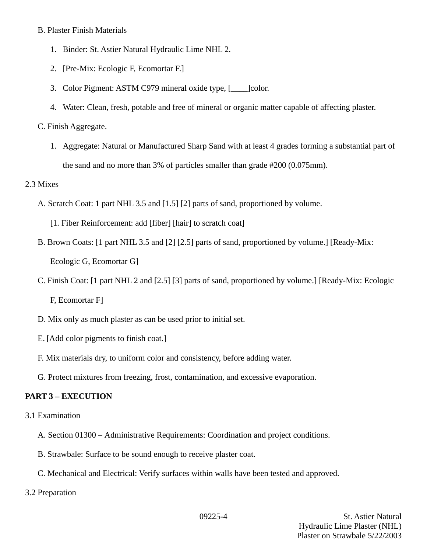#### B. Plaster Finish Materials

- 1. Binder: St. Astier Natural Hydraulic Lime NHL 2.
- 2. [Pre-Mix: Ecologic F, Ecomortar F.]
- 3. Color Pigment: ASTM C979 mineral oxide type, [\_\_\_\_]color.
- 4. Water: Clean, fresh, potable and free of mineral or organic matter capable of affecting plaster.

# C. Finish Aggregate.

1. Aggregate: Natural or Manufactured Sharp Sand with at least 4 grades forming a substantial part of the sand and no more than 3% of particles smaller than grade #200 (0.075mm).

### 2.3 Mixes

- A. Scratch Coat: 1 part NHL 3.5 and [1.5] [2] parts of sand, proportioned by volume.
	- [1. Fiber Reinforcement: add [fiber] [hair] to scratch coat]
- B. Brown Coats: [1 part NHL 3.5 and [2] [2.5] parts of sand, proportioned by volume.] [Ready-Mix: Ecologic G, Ecomortar G]
- C. Finish Coat: [1 part NHL 2 and [2.5] [3] parts of sand, proportioned by volume.] [Ready-Mix: Ecologic F, Ecomortar F]
- D. Mix only as much plaster as can be used prior to initial set.
- E. [Add color pigments to finish coat.]
- F. Mix materials dry, to uniform color and consistency, before adding water.
- G. Protect mixtures from freezing, frost, contamination, and excessive evaporation.

# **PART 3 – EXECUTION**

- 3.1 Examination
	- A. Section 01300 Administrative Requirements: Coordination and project conditions.
	- B. Strawbale: Surface to be sound enough to receive plaster coat.
	- C. Mechanical and Electrical: Verify surfaces within walls have been tested and approved.
- 3.2 Preparation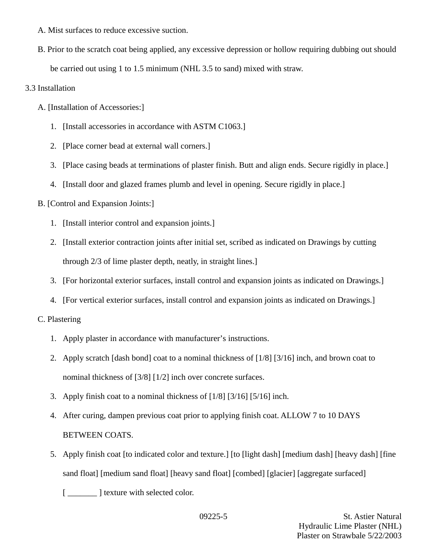- A. Mist surfaces to reduce excessive suction.
- B. Prior to the scratch coat being applied, any excessive depression or hollow requiring dubbing out should be carried out using 1 to 1.5 minimum (NHL 3.5 to sand) mixed with straw.

# 3.3 Installation

- A. [Installation of Accessories:]
	- 1. [Install accessories in accordance with ASTM C1063.]
	- 2. [Place corner bead at external wall corners.]
	- 3. [Place casing beads at terminations of plaster finish. Butt and align ends. Secure rigidly in place.]
	- 4. [Install door and glazed frames plumb and level in opening. Secure rigidly in place.]

# B. [Control and Expansion Joints:]

- 1. [Install interior control and expansion joints.]
- 2. [Install exterior contraction joints after initial set, scribed as indicated on Drawings by cutting through 2/3 of lime plaster depth, neatly, in straight lines.]
- 3. [For horizontal exterior surfaces, install control and expansion joints as indicated on Drawings.]
- 4. [For vertical exterior surfaces, install control and expansion joints as indicated on Drawings.]

# C. Plastering

- 1. Apply plaster in accordance with manufacturer's instructions.
- 2. Apply scratch [dash bond] coat to a nominal thickness of [1/8] [3/16] inch, and brown coat to nominal thickness of [3/8] [1/2] inch over concrete surfaces.
- 3. Apply finish coat to a nominal thickness of [1/8] [3/16] [5/16] inch.
- 4. After curing, dampen previous coat prior to applying finish coat. ALLOW 7 to 10 DAYS BETWEEN COATS.
- 5. Apply finish coat [to indicated color and texture.] [to [light dash] [medium dash] [heavy dash] [fine sand float] [medium sand float] [heavy sand float] [combed] [glacier] [aggregate surfaced]

[ $\frac{1}{\sqrt{2}}$ ] texture with selected color.